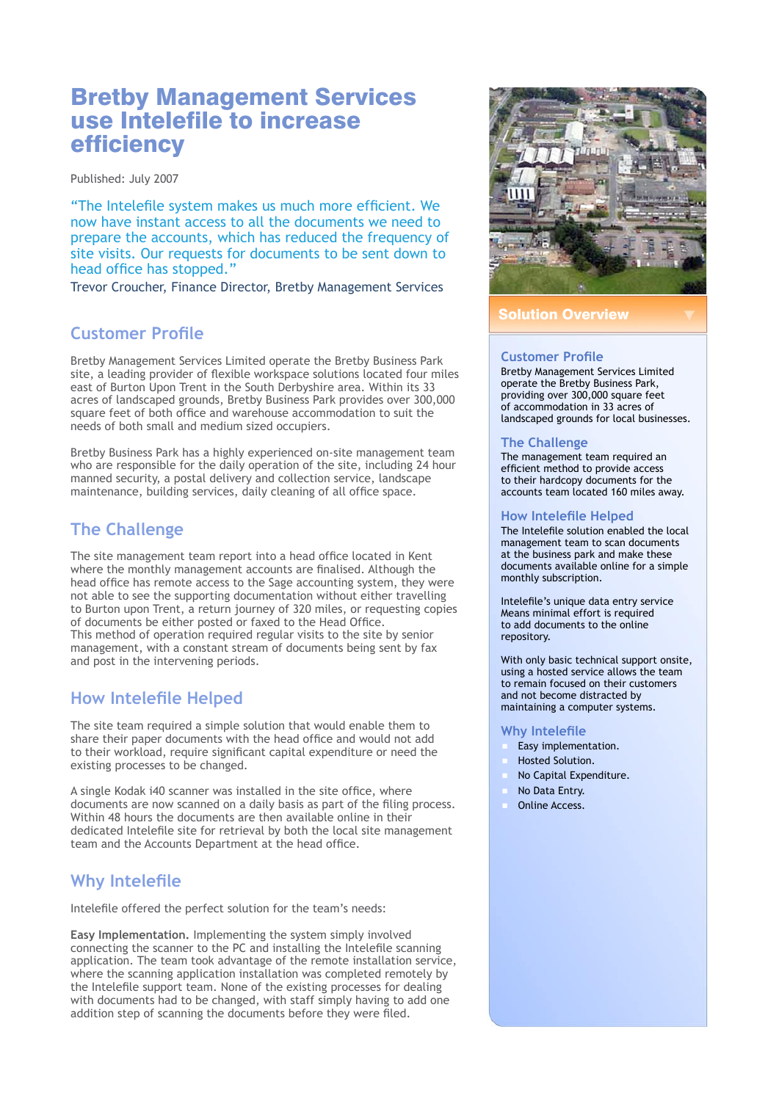# Bretby Management Services use Intelefile to increase efficiency

Published: July 2007

"The Intelefile system makes us much more efficient. We now have instant access to all the documents we need to prepare the accounts, which has reduced the frequency of site visits. Our requests for documents to be sent down to head office has stopped."

Trevor Croucher, Finance Director, Bretby Management Services

### **Customer Profile**

Bretby Management Services Limited operate the Bretby Business Park site, a leading provider of flexible workspace solutions located four miles east of Burton Upon Trent in the South Derbyshire area. Within its 33 acres of landscaped grounds, Bretby Business Park provides over 300,000 square feet of both office and warehouse accommodation to suit the needs of both small and medium sized occupiers.

Bretby Business Park has a highly experienced on-site management team who are responsible for the daily operation of the site, including 24 hour manned security, a postal delivery and collection service, landscape maintenance, building services, daily cleaning of all office space.

### **The Challenge**

The site management team report into a head office located in Kent where the monthly management accounts are finalised. Although the head office has remote access to the Sage accounting system, they were not able to see the supporting documentation without either travelling to Burton upon Trent, a return journey of 320 miles, or requesting copies of documents be either posted or faxed to the Head Office. This method of operation required regular visits to the site by senior management, with a constant stream of documents being sent by fax and post in the intervening periods.

## **How Intelefile Helped**

The site team required a simple solution that would enable them to share their paper documents with the head office and would not add to their workload, require significant capital expenditure or need the existing processes to be changed.

A single Kodak i40 scanner was installed in the site office, where documents are now scanned on a daily basis as part of the filing process. Within 48 hours the documents are then available online in their dedicated Intelefile site for retrieval by both the local site management team and the Accounts Department at the head office.

### **Why Intelefile**

Intelefile offered the perfect solution for the team's needs:

**Easy Implementation.** Implementing the system simply involved connecting the scanner to the PC and installing the Intelefile scanning application. The team took advantage of the remote installation service, where the scanning application installation was completed remotely by the Intelefile support team. None of the existing processes for dealing with documents had to be changed, with staff simply having to add one addition step of scanning the documents before they were filed.



Solution Overview

### **Customer Profile**

Bretby Management Services Limited operate the Bretby Business Park, providing over 300,000 square feet of accommodation in 33 acres of landscaped grounds for local businesses.

### **The Challenge**

The management team required an efficient method to provide access to their hardcopy documents for the accounts team located 160 miles away.

#### **How Intelefile Helped**

The Intelefile solution enabled the local management team to scan documents at the business park and make these documents available online for a simple monthly subscription.

Intelefile's unique data entry service Means minimal effort is required to add documents to the online repository.

With only basic technical support onsite, using a hosted service allows the team to remain focused on their customers and not become distracted by maintaining a computer systems.

#### **Why Intelefile**

- Easy implementation.
- Hosted Solution.
- No Capital Expenditure.
- No Data Entry.
- Online Access.